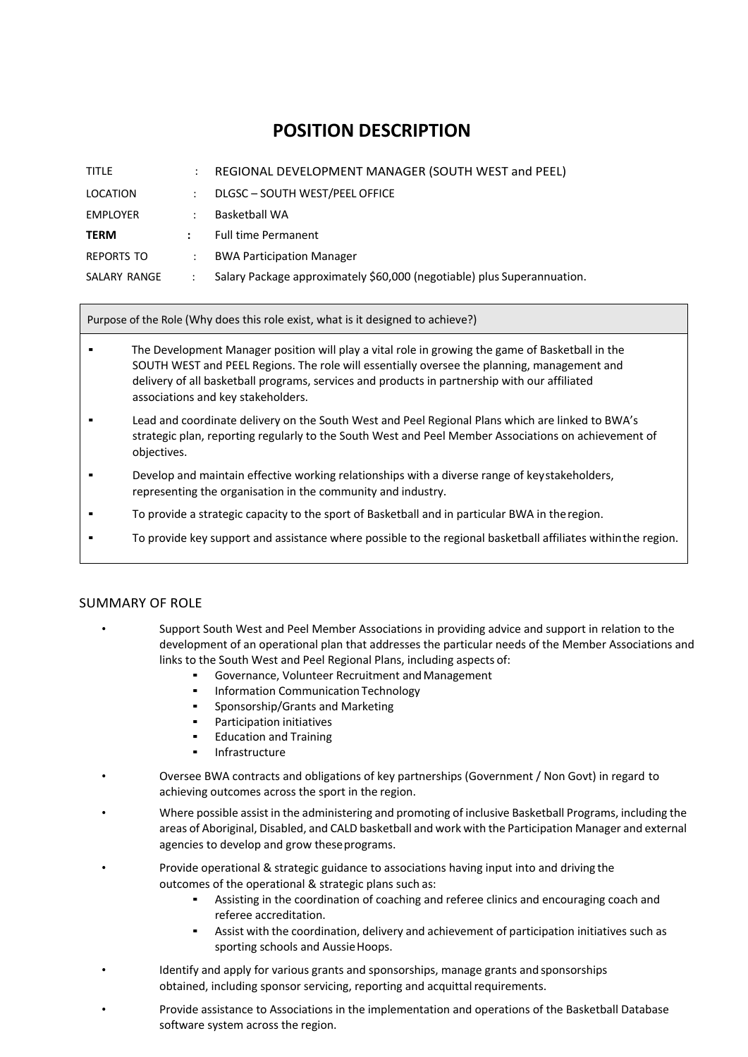## **POSITION DESCRIPTION**

| <b>TITLE</b>      | ÷                    | REGIONAL DEVELOPMENT MANAGER (SOUTH WEST and PEEL)                      |
|-------------------|----------------------|-------------------------------------------------------------------------|
| LOCATION          | $\ddot{\phantom{0}}$ | DLGSC - SOUTH WEST/PEEL OFFICE                                          |
| <b>EMPLOYER</b>   | ÷                    | Basketball WA                                                           |
| <b>TERM</b>       | $\ddot{\phantom{a}}$ | <b>Full time Permanent</b>                                              |
| <b>REPORTS TO</b> | $\ddot{\phantom{a}}$ | <b>BWA Participation Manager</b>                                        |
| SALARY RANGE      |                      | Salary Package approximately \$60,000 (negotiable) plus Superannuation. |

Purpose of the Role (Why does this role exist, what is it designed to achieve?)

- The Development Manager position will play a vital role in growing the game of Basketball in the SOUTH WEST and PEEL Regions. The role will essentially oversee the planning, management and delivery of all basketball programs, services and products in partnership with our affiliated associations and key stakeholders.
- Lead and coordinate delivery on the South West and Peel Regional Plans which are linked to BWA's strategic plan, reporting regularly to the South West and Peel Member Associations on achievement of objectives.
- Develop and maintain effective working relationships with a diverse range of keystakeholders, representing the organisation in the community and industry.
- To provide a strategic capacity to the sport of Basketball and in particular BWA in the region.
- To provide key support and assistance where possible to the regional basketball affiliates withinthe region.

## SUMMARY OF ROLE

- Support South West and Peel Member Associations in providing advice and support in relation to the development of an operational plan that addresses the particular needs of the Member Associations and links to the South West and Peel Regional Plans, including aspects of:
	- Governance, Volunteer Recruitment and Management
	- **Information Communication Technology**
	- Sponsorship/Grants and Marketing
	- Participation initiatives
	- **Education and Training**
	- **Infrastructure**
- Oversee BWA contracts and obligations of key partnerships (Government / Non Govt) in regard to achieving outcomes across the sport in the region.
- Where possible assist in the administering and promoting of inclusive Basketball Programs, including the areas of Aboriginal, Disabled, and CALD basketball and work with the Participation Manager and external agencies to develop and grow theseprograms.
- Provide operational & strategic guidance to associations having input into and driving the outcomes of the operational & strategic plans such as:
	- Assisting in the coordination of coaching and referee clinics and encouraging coach and referee accreditation.
	- Assist with the coordination, delivery and achievement of participation initiatives such as sporting schools and AussieHoops.
- Identify and apply for various grants and sponsorships, manage grants and sponsorships obtained, including sponsor servicing, reporting and acquittal requirements.
- Provide assistance to Associations in the implementation and operations of the Basketball Database software system across the region.